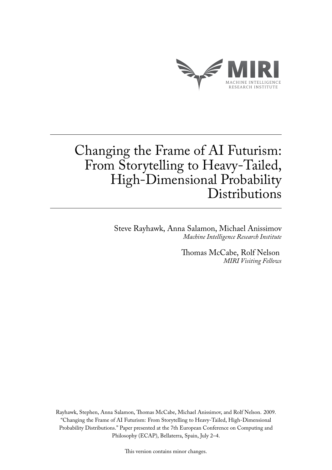

## Changing the Frame of AI Futurism: From Storytelling to Heavy-Tailed, High-Dimensional Probability **Distributions**

Steve Rayhawk, Anna Salamon, Michael Anissimov *Machine Intelligence Research Institute*

> Thomas McCabe, Rolf Nelson *MIRI Visiting Fellows*

Rayhawk, Stephen, Anna Salamon, Thomas McCabe, Michael Anissimov, and Rolf Nelson. 2009. "Changing the Frame of AI Futurism: From Storytelling to Heavy-Tailed, High-Dimensional Probability Distributions." Paper presented at the 7th European Conference on Computing and Philosophy (ECAP), Bellaterra, Spain, July 2–4.

This version contains minor changes.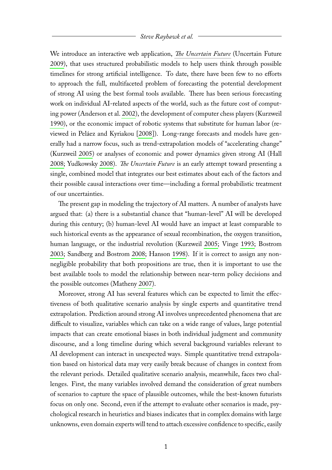## *Steve Rayhawk et al.*

We introduce an interactive web application, *[The Uncertain Future](http://www.theuncertainfuture.com/)* (Uncertain Future [2009\)](#page-5-0), that uses structured probabilistic models to help users think through possible timelines for strong artificial intelligence. To date, there have been few to no efforts to approach the full, multifaceted problem of forecasting the potential development of strong AI using the best formal tools available. There has been serious forecasting work on individual AI-related aspects of the world, such as the future cost of computing power (Anderson et al. [2002\)](#page-5-1), the development of computer chess players (Kurzweil [1990\)](#page-5-2), or the economic impact of robotic systems that substitute for human labor (reviewed in Peláez and Kyriakou [\[2008\]](#page-5-3)). Long-range forecasts and models have generally had a narrow focus, such as trend-extrapolation models of "accelerating change" (Kurzweil [2005\)](#page-5-4) or analyses of economic and power dynamics given strong AI (Hall [2008;](#page-5-5) Yudkowsky [2008\)](#page-6-0). *The Uncertain Future* is an early attempt toward presenting a single, combined model that integrates our best estimates about each of the factors and their possible causal interactions over time—including a formal probabilistic treatment of our uncertainties.

The present gap in modeling the trajectory of AI matters. A number of analysts have argued that: (a) there is a substantial chance that "human-level" AI will be developed during this century; (b) human-level AI would have an impact at least comparable to such historical events as the appearance of sexual recombination, the oxygen transition, human language, or the industrial revolution (Kurzweil [2005;](#page-5-4) Vinge [1993;](#page-6-1) Bostrom [2003;](#page-5-6) Sandberg and Bostrom [2008;](#page-5-7) Hanson [1998\)](#page-5-8). If it is correct to assign any nonnegligible probability that both propositions are true, then it is important to use the best available tools to model the relationship between near-term policy decisions and the possible outcomes (Matheny [2007\)](#page-5-9).

Moreover, strong AI has several features which can be expected to limit the effectiveness of both qualitative scenario analysis by single experts and quantitative trend extrapolation. Prediction around strong AI involves unprecedented phenomena that are difficult to visualize, variables which can take on a wide range of values, large potential impacts that can create emotional biases in both individual judgment and community discourse, and a long timeline during which several background variables relevant to AI development can interact in unexpected ways. Simple quantitative trend extrapolation based on historical data may very easily break because of changes in context from the relevant periods. Detailed qualitative scenario analysis, meanwhile, faces two challenges. First, the many variables involved demand the consideration of great numbers of scenarios to capture the space of plausible outcomes, while the best-known futurists focus on only one. Second, even if the attempt to evaluate other scenarios is made, psychological research in heuristics and biases indicates that in complex domains with large unknowns, even domain experts will tend to attach excessive confidence to specific, easily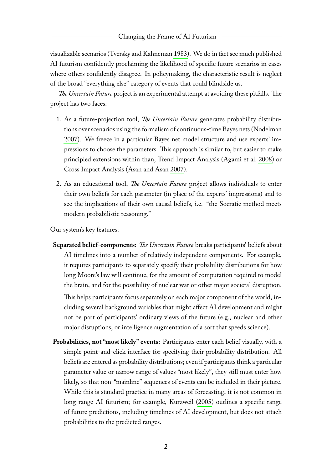## Changing the Frame of AI Futurism

visualizable scenarios (Tversky and Kahneman [1983\)](#page-5-10). We do in fact see much published AI futurism confidently proclaiming the likelihood of specific future scenarios in cases where others confidently disagree. In policymaking, the characteristic result is neglect of the broad "everything else" category of events that could blindside us.

*The Uncertain Future* project is an experimental attempt at avoiding these pitfalls. The project has two faces:

- 1. As a future-projection tool, *The Uncertain Future* generates probability distributions over scenarios using the formalism of continuous-time Bayes nets (Nodelman [2007\)](#page-5-11). We freeze in a particular Bayes net model structure and use experts' impressions to choose the parameters. This approach is similar to, but easier to make principled extensions within than, Trend Impact Analysis (Agami et al. [2008\)](#page-5-12) or Cross Impact Analysis (Asan and Asan [2007\)](#page-5-13).
- 2. As an educational tool, *The Uncertain Future* project allows individuals to enter their own beliefs for each parameter (in place of the experts' impressions) and to see the implications of their own causal beliefs, i.e. "the Socratic method meets modern probabilistic reasoning."

Our system's key features:

**Separated belief-components:** *The Uncertain Future* breaks participants' beliefs about AI timelines into a number of relatively independent components. For example, it requires participants to separately specify their probability distributions for how long Moore's law will continue, for the amount of computation required to model the brain, and for the possibility of nuclear war or other major societal disruption.

This helps participants focus separately on each major component of the world, including several background variables that might affect AI development and might not be part of participants' ordinary views of the future (e.g., nuclear and other major disruptions, or intelligence augmentation of a sort that speeds science).

**Probabilities, not "most likely" events:** Participants enter each belief visually, with a simple point-and-click interface for specifying their probability distribution. All beliefs are entered as probability distributions; even if participants think a particular parameter value or narrow range of values "most likely", they still must enter how likely, so that non-"mainline" sequences of events can be included in their picture. While this is standard practice in many areas of forecasting, it is not common in long-range AI futurism; for example, Kurzweil [\(2005\)](#page-5-4) outlines a specific range of future predictions, including timelines of AI development, but does not attach probabilities to the predicted ranges.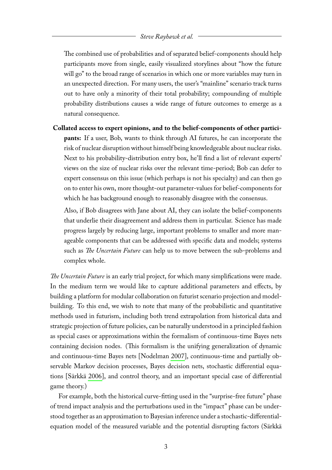The combined use of probabilities and of separated belief-components should help participants move from single, easily visualized storylines about "how the future will go" to the broad range of scenarios in which one or more variables may turn in an unexpected direction. For many users, the user's "mainline" scenario track turns out to have only a minority of their total probability; compounding of multiple probability distributions causes a wide range of future outcomes to emerge as a natural consequence.

**Collated access to expert opinions, and to the belief-components of other participants:** If a user, Bob, wants to think through AI futures, he can incorporate the risk of nuclear disruption without himself being knowledgeable about nuclear risks. Next to his probability-distribution entry box, he'll find a list of relevant experts' views on the size of nuclear risks over the relevant time-period; Bob can defer to expert consensus on this issue (which perhaps is not his specialty) and can then go on to enter his own, more thought-out parameter-values for belief-components for which he has background enough to reasonably disagree with the consensus.

Also, if Bob disagrees with Jane about AI, they can isolate the belief-components that underlie their disagreement and address them in particular. Science has made progress largely by reducing large, important problems to smaller and more manageable components that can be addressed with specific data and models; systems such as *The Uncertain Future* can help us to move between the sub-problems and complex whole.

*The Uncertain Future* is an early trial project, for which many simplifications were made. In the medium term we would like to capture additional parameters and effects, by building a platform for modular collaboration on futurist scenario projection and modelbuilding. To this end, we wish to note that many of the probabilistic and quantitative methods used in futurism, including both trend extrapolation from historical data and strategic projection of future policies, can be naturally understood in a principled fashion as special cases or approximations within the formalism of continuous-time Bayes nets containing decision nodes. (This formalism is the unifying generalization of dynamic and continuous-time Bayes nets [Nodelman [2007\]](#page-5-11), continuous-time and partially observable Markov decision processes, Bayes decision nets, stochastic differential equations [Särkkä [2006\]](#page-5-14), and control theory, and an important special case of differential game theory.)

For example, both the historical curve-fitting used in the "surprise-free future" phase of trend impact analysis and the perturbations used in the "impact" phase can be understood together as an approximation to Bayesian inference under a stochastic-differentialequation model of the measured variable and the potential disrupting factors (Särkkä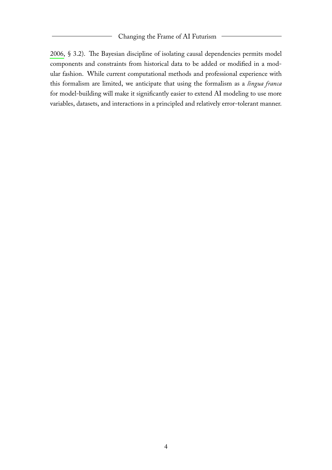[2006,](#page-5-14) § 3.2). The Bayesian discipline of isolating causal dependencies permits model components and constraints from historical data to be added or modified in a modular fashion. While current computational methods and professional experience with this formalism are limited, we anticipate that using the formalism as a *lingua franca* for model-building will make it significantly easier to extend AI modeling to use more variables, datasets, and interactions in a principled and relatively error-tolerant manner.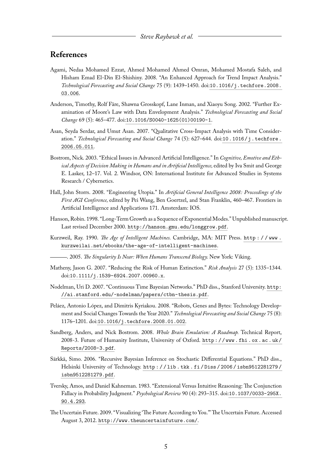## **References**

- <span id="page-5-12"></span>Agami, Nedaa Mohamed Ezzat, Ahmed Mohamed Ahmed Omran, Mohamed Mostafa Saleh, and Hisham Emad El-Din El-Shishiny. 2008. "An Enhanced Approach for Trend Impact Analysis." *Technological Forecasting and Social Change* 75 (9): 1439–1450. doi:[10.1016/j.techfore.2008.](http://dx.doi.org/10.1016/j.techfore.2008.03.006) [03.006](http://dx.doi.org/10.1016/j.techfore.2008.03.006).
- <span id="page-5-1"></span>Anderson, Timothy, Rolf Färe, Shawna Grosskopf, Lane Inman, and Xiaoyu Song. 2002. "Further Examination of Moore's Law with Data Envelopment Analysis." *Technological Forecasting and Social Change* 69 (5): 465–477. doi:[10.1016/S0040-1625\(01\)00190-1](http://dx.doi.org/10.1016/S0040-1625(01)00190-1).
- <span id="page-5-13"></span>Asan, Seyda Serdar, and Umut Asan. 2007. "Qualitative Cross-Impact Analysis with Time Consideration." *Technological Forecasting and Social Change* 74 (5): 627-644. doi:[10.1016/j.techfore.](http://dx.doi.org/10.1016/j.techfore.2006.05.011) [2006.05.011](http://dx.doi.org/10.1016/j.techfore.2006.05.011).
- <span id="page-5-6"></span>Bostrom, Nick. 2003. "Ethical Issues in Advanced Artificial Intelligence." In *Cognitive, Emotive and Ethical Aspects of Decision Making in Humans and in Artificial Intelligence,* edited by Iva Smit and George E. Lasker, 12–17. Vol. 2. Windsor, ON: International Institute for Advanced Studies in Systems Research / Cybernetics.
- <span id="page-5-5"></span>Hall, John Storrs. 2008. "Engineering Utopia." In *Artificial General Intelligence 2008: Proceedings of the First AGI Conference,* edited by Pei Wang, Ben Goertzel, and Stan Franklin, 460–467. Frontiers in Artificial Intelligence and Applications 171. Amsterdam: IOS.
- <span id="page-5-8"></span>Hanson, Robin. 1998. "Long-Term Growth as a Sequence of Exponential Modes." Unpublished manuscript. Last revised December 2000. <http://hanson.gmu.edu/longgrow.pdf>.
- <span id="page-5-2"></span>Kurzweil, Ray. 1990. *The Age of Intelligent Machines.* Cambridge, MA: MIT Press. [http : / / www .](http://www.kurzweilai.net/ebooks/the-age-of-intelligent-machines) [kurzweilai.net/ebooks/the-age-of-intelligent-machines](http://www.kurzweilai.net/ebooks/the-age-of-intelligent-machines).
	- . 2005. *The Singularity Is Near: When Humans Transcend Biology.* New York: Viking.
- <span id="page-5-9"></span><span id="page-5-4"></span>Matheny, Jason G. 2007. "Reducing the Risk of Human Extinction." *Risk Analysis* 27 (5): 1335–1344. doi:[10.1111/j.1539-6924.2007.00960.x](http://dx.doi.org/10.1111/j.1539-6924.2007.00960.x).
- <span id="page-5-11"></span>Nodelman, Uri D. 2007. "Continuous Time Bayesian Networks." PhD diss., Stanford University. [http:](http://ai.stanford.edu/~nodelman/papers/ctbn-thesis.pdf) [//ai.stanford.edu/~nodelman/papers/ctbn-thesis.pdf](http://ai.stanford.edu/~nodelman/papers/ctbn-thesis.pdf).
- <span id="page-5-3"></span>Peláez, Antonio López, and Dimitris Kyriakou. 2008. "Robots, Genes and Bytes: Technology Development and Social Changes Towards the Year 2020." *Technological Forecasting and Social Change* 75 (8): 1176–1201. doi:[10.1016/j.techfore.2008.01.002](http://dx.doi.org/10.1016/j.techfore.2008.01.002).
- <span id="page-5-7"></span>Sandberg, Anders, and Nick Bostrom. 2008. *Whole Brain Emulation: A Roadmap.* Technical Report, 2008-3. Future of Humanity Institute, University of Oxford. [http : / / www . fhi . ox . ac . uk /](http://www.fhi.ox.ac.uk/Reports/2008-3.pdf) [Reports/2008-3.pdf](http://www.fhi.ox.ac.uk/Reports/2008-3.pdf).
- <span id="page-5-14"></span>Särkkä, Simo. 2006. "Recursive Bayesian Inference on Stochastic Differential Equations." PhD diss., Helsinki University of Technology. [http : / / lib . tkk . fi / Diss / 2006 / isbn9512281279 /](http://lib.tkk.fi/Diss/2006/isbn9512281279/isbn9512281279.pdf) [isbn9512281279.pdf](http://lib.tkk.fi/Diss/2006/isbn9512281279/isbn9512281279.pdf).
- <span id="page-5-10"></span>Tversky, Amos, and Daniel Kahneman. 1983. "Extensional Versus Intuitive Reasoning: The Conjunction Fallacy in Probability Judgment." *Psychological Review* 90 (4): 293–315. doi:[10.1037/0033-295X.](http://dx.doi.org/10.1037/0033-295X.90.4.293) [90.4.293](http://dx.doi.org/10.1037/0033-295X.90.4.293).
- <span id="page-5-0"></span>The Uncertain Future. 2009. "Visualizing 'The Future According to You."'The Uncertain Future. Accessed August 3, 2012. <http://www.theuncertainfuture.com/>.